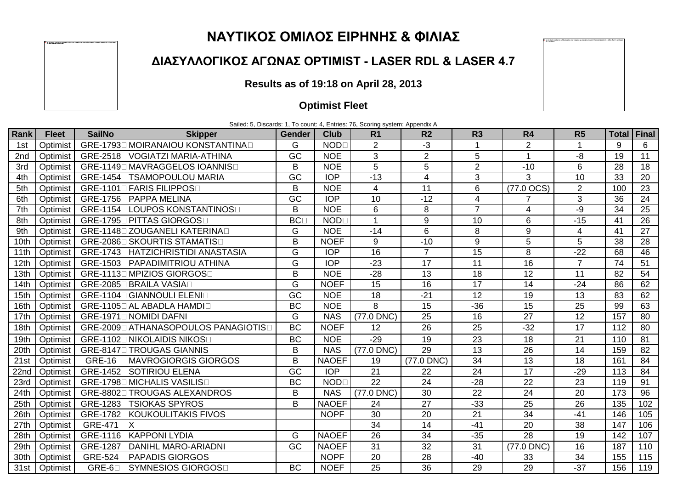## **ΝΑΥΤΙΚΟΣ ΟΜΙΛΟΣ ΕΙΡΗΝΗΣ & ΦΙΛΙΑΣ**

## **ΔΙΑΣΥΛΛΟΓΙΚΟΣ ΑΓΩΝΑΣ OPTIMIST - LASER RDL & LASER 4.7**

## **Results as of 19:18 on April 28, 2013**

## **Optimist Fleet**

Sailed: 5, Discards: 1, To count: 4, Entries: 76, Scoring system: Appendix A

| Rank             | <b>Fleet</b> | <b>SailNo</b>  | <b>Skipper</b>                                    | <b>Gender</b>   | <b>Club</b>      | R <sub>1</sub>  | R <sub>2</sub>  | R <sub>3</sub>  | R <sub>4</sub>   | R <sub>5</sub>  | <b>Total</b>     | Final           |
|------------------|--------------|----------------|---------------------------------------------------|-----------------|------------------|-----------------|-----------------|-----------------|------------------|-----------------|------------------|-----------------|
| 1st              | Optimist     |                | GRE-1793D MOIRANAIOU KONSTANTINAD                 | G               | <b>NOD</b>       | $\overline{2}$  | -3              |                 | $\overline{2}$   |                 | 9                | 6               |
| 2nd              | Optimist     |                | GRE-2518   VOGIATZI MARIA-ATHINA                  | GC              | <b>NOE</b>       | 3               | $\overline{2}$  | 5               | $\overline{1}$   | -8              | 19               | 11              |
| 3rd              | Optimist     |                | GRE-11490 MAVRAGGELOS IOANNISO                    | B               | <b>NOE</b>       | 5               | 5               | $\overline{2}$  | $-10$            | $6\phantom{1}6$ | 28               | 18              |
| 4th              | Optimist     | GRE-1454       | <b>ITSAMOPOULOU MARIA</b>                         | GC              | <b>IOP</b>       | $-13$           | 4               | 3               | 3                | 10              | 33               | 20              |
| 5th              | Optimist     |                | GRE-1101 <sup>[</sup> FARIS FILIPPOS <sup>1</sup> | B               | <b>NOE</b>       | $\overline{4}$  | 11              | 6               | (77.0 OCS)       | $\overline{2}$  | 100              | 23              |
| 6th              | Optimist     | GRE-1756       | <b>PAPPA MELINA</b>                               | $\overline{GC}$ | $\overline{IOP}$ | 10              | $-12$           | 4               |                  | 3               | 36               | $\overline{24}$ |
| 7th              | Optimist     | GRE-1154       | LOUPOS KONSTANTINOS⊡                              | B               | <b>NOE</b>       | 6               | 8               | $\overline{7}$  | 4                | -9              | 34               | 25              |
| 8th              | Optimist     |                | GRE-1795L PITTAS GIORGOSL                         | <b>BC</b>       | <b>NOD</b>       | $\overline{1}$  | 9               | 10              | 6                | $-15$           | 41               | $\overline{26}$ |
| 9th              | Optimist     |                | GRE-1148 ZOUGANELI KATERINA                       | G               | <b>NOE</b>       | $-14$           | 6               | 8               | $\boldsymbol{9}$ | $\overline{4}$  | 41               | 27              |
| 10th             | Optimist     |                | GRE-2086L SKOURTIS STAMATISL                      | B               | <b>NOEF</b>      | 9               | $-10$           | 9               | 5                | 5               | 38               | 28              |
| 11th             | Optimist     | GRE-1743       | HATZICHRISTIDI ANASTASIA                          | G               | <b>IOP</b>       | 16              | $\overline{7}$  | 15              | 8                | $-22$           | 68               | 46              |
| 12th             | Optimist     | GRE-1503       | <b>PAPADIMITRIOU ATHINA</b>                       | G               | <b>IOP</b>       | $-23$           | 17              | 11              | 16               | $\overline{7}$  | 74               | 51              |
| 13th             | Optimist     |                | GRE-1113DMPIZIOS GIORGOSD                         | B               | <b>NOE</b>       | $-28$           | 13              | 18              | 12               | 11              | 82               | 54              |
| 14th             | Optimist     |                | GRE-2085L BRAILA VASIAL                           | G               | <b>NOEF</b>      | 15              | 16              | 17              | 14               | $-24$           | 86               | 62              |
| 15th             | Optimist     |                | <b>GRE-1104D GIANNOULI ELENID</b>                 | GC              | <b>NOE</b>       | $\overline{18}$ | $-21$           | $\overline{12}$ | $\overline{19}$  | $\overline{13}$ | 83               | 62              |
| 16th             | Optimist     |                | GRE-1105L AL ABADLA HAMDIO                        | <b>BC</b>       | <b>NOE</b>       | $\overline{8}$  | 15              | $-36$           | 15               | 25              | 99               | 63              |
| 17th             | Optimist     |                | GRE-1971 NOMIDI DAFNI                             | G               | <b>NAS</b>       | (77.0 DNC)      | $\overline{25}$ | 16              | $\overline{27}$  | $\overline{12}$ | 157              | 80              |
| 18th             | Optimist     |                | GRE-2009 ATHANASOPOULOS PANAGIOTIS                | <b>BC</b>       | <b>NOEF</b>      | 12              | 26              | 25              | $-32$            | 17              | 112              | 80              |
| 19th             | Optimist     |                | GRE-1102LNIKOLAIDIS NIKOS                         | <b>BC</b>       | <b>NOE</b>       | $-29$           | 19              | 23              | 18               | 21              | 110              | 81              |
| 20th             | Optimist     |                | GRE-8147L TROUGAS GIANNIS                         | B               | <b>NAS</b>       | (77.0 DNC)      | 29              | 13              | 26               | 14              | 159              | 82              |
| 21st             | Optimist     | <b>GRE-16</b>  | <b>MAVROGIORGIS GIORGOS</b>                       | B               | <b>NAOEF</b>     | 19              | (77.0 DNC)      | 34              | 13               | 18              | 161              | 84              |
| 22 <sub>nd</sub> | Optimist     | GRE-1452       | <b>SOTIRIOU ELENA</b>                             | GC              | <b>IOP</b>       | $\overline{21}$ | 22              | $\overline{24}$ | $\overline{17}$  | $-29$           | 113              | 84              |
| 23rd             | Optimist     |                | GRE-1798L MICHALIS VASILISL                       | <b>BC</b>       | <b>NOD</b>       | $\overline{22}$ | 24              | $-28$           | $\overline{22}$  | $\overline{23}$ | 119              | 91              |
| 24th             | Optimist     | GRE-8802□      | <b>TROUGAS ALEXANDROS</b>                         | B               | <b>NAS</b>       | (77.0 DNC)      | 30              | 22              | $\overline{24}$  | 20              | 173              | 96              |
| 25th             | Optimist     | GRE-1283       | <b>TSIOKAS SPYROS</b>                             | B               | <b>NAOEF</b>     | $\overline{24}$ | $\overline{27}$ | $-33$           | $\overline{25}$  | $\overline{26}$ | $\overline{135}$ | 102             |
| 26th             | Optimist     | GRE-1782       | <b>KOUKOULITAKIS FIVOS</b>                        |                 | <b>NOPF</b>      | 30              | 20              | 21              | 34               | $-41$           | 146              | 105             |
| 27th             | Optimist     | <b>GRE-471</b> | X                                                 |                 |                  | 34              | 14              | $-41$           | 20               | 38              | 147              | 106             |
| 28th             | Optimist     | GRE-1116       | <b>KAPPONI LYDIA</b>                              | G               | <b>NAOEF</b>     | 26              | 34              | $-35$           | 28               | 19              | 142              | 107             |
| 29th             | Optimist     | GRE-1287       | <b>DANIHL MARO-ARIADNI</b>                        | GC              | <b>NAOEF</b>     | 31              | 32              | 31              | (77.0 DNC)       | 16              | 187              | 110             |
| 30th             | Optimist     | <b>GRE-524</b> | <b>PAPADIS GIORGOS</b>                            |                 | <b>NOPF</b>      | 20              | 28              | $-40$           | 33               | 34              | 155              | 115             |
| 31st             | Optimist     | $GRE-6\square$ | SYMNESIOS GIORGOS⊡                                | <b>BC</b>       | <b>NOEF</b>      | 25              | 36              | 29              | 29               | $-37$           | 156              | 119             |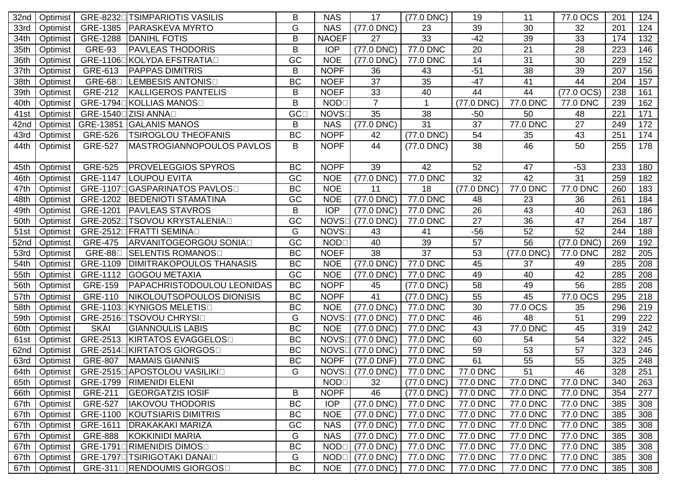| 32nd | Optimist |                 | GRE-8232L TSIMPARIOTIS VASILIS    | B               | <b>NAS</b>                 | 17              | $(77.0$ DNC)    | 19         | 11         | 77.0 OCS             | 201 | 124 |
|------|----------|-----------------|-----------------------------------|-----------------|----------------------------|-----------------|-----------------|------------|------------|----------------------|-----|-----|
| 33rd | Optimist | GRE-1385        | <b>PARASKEVA MYRTO</b>            | G               | <b>NAS</b>                 | $(77.0$ DNC)    | 23              | 39         | 30         | 32                   | 201 | 124 |
| 34th | Optimist | GRE-1288        | <b>DANIHL FOTIS</b>               | B               | <b>NAOEF</b>               | 27              | 33              | $-42$      | 39         | 33                   | 174 | 132 |
| 35th | Optimist | <b>GRE-93</b>   | <b>PAVLEAS THODORIS</b>           | B               | <b>IOP</b>                 | (77.0 DNC)      | 77.0 DNC        | 20         | 21         | 28                   | 223 | 146 |
| 36th | Optimist | GRE-1106        | ∃KOLYDA EFSTRATIA⊟                | GC              | <b>NOE</b>                 | (77.0 DNC)      | 77.0 DNC        | 14         | 31         | 30                   | 229 | 152 |
| 37th | Optimist | GRE-613         | <b>PAPPAS DIMITRIS</b>            | B               | <b>NOPF</b>                | 36              | 43              | $-51$      | 38         | 39                   | 207 | 156 |
| 38th | Optimist | $GRE-68\square$ | LEMBESIS ANTONIS                  | <b>BC</b>       | <b>NOEF</b>                | 37              | 35              | $-47$      | 41         | 44                   | 204 | 157 |
| 39th | Optimist | GRE-212         | <b>KALLIGEROS PANTELIS</b>        | B               | <b>NOEF</b>                | 33              | 40              | 44         | 44         | $(77.0 \text{ OCS})$ | 238 | 161 |
| 40th | Optimist |                 | GRE-1794□ KOLLIAS MANOS□          | B               | <b>NOD</b>                 | $\overline{7}$  | 1               | (77.0 DNC) | 77.0 DNC   | 77.0 DNC             | 239 | 162 |
| 41st | Optimist |                 | GRE-1540□ZISI ANNA□               | GC <sub>1</sub> | <b>NOVS</b>                | 35              | 38              | $-50$      | 50         | 48                   | 221 | 171 |
| 42nd | Optimist | GRE-13851       | <b>GALANIS MANOS</b>              | B               | <b>NAS</b>                 | (77.0 DNC)      | $\overline{31}$ | 37         | 77.0 DNC   | $\overline{27}$      | 249 | 172 |
| 43rd | Optimist | <b>GRE-526</b>  | <b>TSIROGLOU THEOFANIS</b>        | <b>BC</b>       | <b>NOPF</b>                | 42              | (77.0 DNC)      | 54         | 35         | 43                   | 251 | 174 |
| 44th | Optimist | <b>GRE-527</b>  | <b>MASTROGIANNOPOULOS PAVLOS</b>  | B               | <b>NOPF</b>                | 44              | $(77.0$ DNC)    | 38         | 46         | 50                   | 255 | 178 |
|      |          |                 |                                   |                 |                            |                 |                 |            |            |                      |     |     |
| 45th | Optimist | <b>GRE-525</b>  | <b>PROVELEGGIOS SPYROS</b>        | <b>BC</b>       | <b>NOPF</b>                | 39              | 42              | 52         | 47         | $-53$                | 233 | 180 |
| 46th | Optimist | GRE-1147        | <b>LOUPOU EVITA</b>               | GC              | <b>NOE</b>                 | (77.0 DNC)      | 77.0 DNC        | 32         | 42         | 31                   | 259 | 182 |
| 47th | Optimist | GRE-1107D       | <b>IGASPARINATOS PAVLOS</b> □     | <b>BC</b>       | <b>NOE</b>                 | 11              | 18              | (77.0 DNC) | 77.0 DNC   | 77.0 DNC             | 260 | 183 |
| 48th | Optimist | GRE-1202        | <b>BEDENIOTI STAMATINA</b>        | GC              | <b>NOE</b>                 | (77.0 DNC)      | 77.0 DNC        | 48         | 23         | 36                   | 261 | 184 |
| 49th | Optimist | GRE-1201        | <b>PAVLEAS STAVROS</b>            | B               | <b>IOP</b>                 | (77.0 DNC)      | 77.0 DNC        | 26         | 43         | 40                   | 263 | 186 |
| 50th | Optimist |                 | GRE-2052L TSOVOU KRYSTALENIAL     | GC              | <b>NOVS</b>                | (77.0 DNC)      | 77.0 DNC        | 27         | 36         | 47                   | 264 | 187 |
| 51st | Optimist |                 | GRE-2512DFRATTI SEMINAD           | G               | <b>NOVS</b>                | 43              | 41              | $-56$      | 52         | $\overline{52}$      | 244 | 188 |
| 52nd | Optimist | <b>GRE-475</b>  | ARVANITOGEORGOU SONIAO            | GC              | <b>NOD</b>                 | 40              | 39              | 57         | 56         | (77.0 DNC)           | 269 | 192 |
| 53rd | Optimist | <b>GRE-88</b>   | SELENTIS ROMANOS                  | <b>BC</b>       | <b>NOEF</b>                | 38              | 37              | 53         | (77.0 DNC) | 77.0 DNC             | 282 | 205 |
| 54th | Optimist | GRE-1109        | <b>DIMITRAKOPOULOS THANASIS</b>   | <b>BC</b>       | <b>NOE</b>                 | $(77.0$ DNC)    | 77.0 DNC        | 45         | 37         | 49                   | 285 | 208 |
| 55th | Optimist | GRE-1112        | <b>GOGOU METAXIA</b>              | GC              | <b>NOE</b>                 | (77.0 DNC)      | 77.0 DNC        | 49         | 40         | 42                   | 285 | 208 |
| 56th | Optimist | GRE-159         | <b>PAPACHRISTODOULOU LEONIDAS</b> | <b>BC</b>       | <b>NOPF</b>                | 45              | (77.0 DNC)      | 58         | 49         | 56                   | 285 | 208 |
| 57th | Optimist | <b>GRE-110</b>  | NIKOLOUTSOPOULOS DIONISIS         | <b>BC</b>       | <b>NOPF</b>                | 41              | (77.0 DNC)      | 55         | 45         | 77.0 OCS             | 295 | 218 |
| 58th | Optimist |                 | GRE-1103DKYNIGOS MELETISD         | <b>BC</b>       | <b>NOE</b>                 | (77.0 DNC)      | 77.0 DNC        | 30         | 77.0 OCS   | 35                   | 296 | 219 |
| 59th | Optimist |                 | GRE-2516L TSOVOU CHRYSIL          | G               | <b>NOVS</b>                | (77.0 DNC)      | 77.0 DNC        | 46         | 48         | 51                   | 299 | 222 |
| 60th | Optimist | <b>SKAI</b>     | <b>GIANNOULIS LABIS</b>           | <b>BC</b>       | <b>NOE</b>                 | (77.0 DNC)      | 77.0 DNC        | 43         | 77.0 DNC   | 45                   | 319 | 242 |
| 61st | Optimist | GRE-2513        | KIRTATOS EVAGGELOSO               | <b>BC</b>       | <b>NOVS</b>                | $(77.0$ DNC $)$ | 77.0 DNC        | 60         | 54         | 54                   | 322 | 245 |
| 62nd | Optimist |                 | GRE-2514L KIRTATOS GIORGOSL       | <b>BC</b>       | <b>NOVS</b>                | (77.0 DNC)      | 77.0 DNC        | 59         | 53         | 57                   | 323 | 246 |
| 63rd | Optimist | <b>GRE-807</b>  | <b>MAMAIS GIANNIS</b>             | <b>BC</b>       | <b>NOPF</b>                | (77.0 DNF)      | 77.0 DNC        | 61         | 55         | 55                   | 325 | 248 |
| 64th | Optimist |                 | GRE-2515L APOSTOLOU VASILIKIL     | G               | <b>NOVS</b>                | $(77.0$ DNC)    | 77.0 DNC        | 77.0 DNC   | 51         | 46                   | 328 | 251 |
| 65th | Optimist |                 | GRE-1799   RIMENIDI ELENI         |                 | <b>NOD</b> <sub>[1</sub> ] | 32              | (77.0 DNC)      | 77.0 DNC   | 77.0 DNC   | 77.0 DNC             | 340 | 263 |
| 66th | Optimist | GRE-211         | <b>GEORGATZIS IOSIF</b>           | B               | <b>NOPF</b>                | 46              | $(77.0$ DNC)    | 77.0 DNC   | 77.0 DNC   | 77.0 DNC             | 354 | 277 |
| 67th | Optimist | <b>GRE-527</b>  | <b>IAKOVOU THODORIS</b>           | BC              | <b>IOP</b>                 | $(77.0$ DNC)    | 77.0 DNC        | 77.0 DNC   | 77.0 DNC   | 77.0 DNC             | 385 | 308 |
| 67th | Optimist | GRE-1100        | KOUTSIARIS DIMITRIS               | BC              | <b>NOE</b>                 | $(77.0$ DNC $)$ | 77.0 DNC        | 77.0 DNC   | 77.0 DNC   | 77.0 DNC             | 385 | 308 |
| 67th | Optimist | GRE-1611        | <b>DRAKAKAKI MARIZA</b>           | GC              | <b>NAS</b>                 | (77.0 DNC)      | 77.0 DNC        | 77.0 DNC   | 77.0 DNC   | 77.0 DNC             | 385 | 308 |
| 67th | Optimist | GRE-888         | KOKKINIDI MARIA                   | G               | <b>NAS</b>                 | $(77.0$ DNC)    | 77.0 DNC        | 77.0 DNC   | 77.0 DNC   | 77.0 DNC             | 385 | 308 |
| 67th | Optimist |                 | GRE-1791L RIMENIDIS DIMOSL        | <b>BC</b>       | <b>NOD</b> <sub>[]</sub>   | (77.0 DNC)      | 77.0 DNC        | 77.0 DNC   | 77.0 DNC   | 77.0 DNC             | 385 | 308 |
| 67th | Optimist |                 | GRE-1797⊡TSIRIGOTAKI DANAI⊡       | G               | NOD <sub>[1</sub>          | (77.0 DNC)      | 77.0 DNC        | 77.0 DNC   | 77.0 DNC   | 77.0 DNC             | 385 | 308 |
| 67th | Optimist |                 | GRE-3110 RENDOUMIS GIORGOSO       | BC              | <b>NOE</b>                 | (77.0 DNC)      | 77.0 DNC        | 77.0 DNC   | 77.0 DNC   | 77.0 DNC             | 385 | 308 |